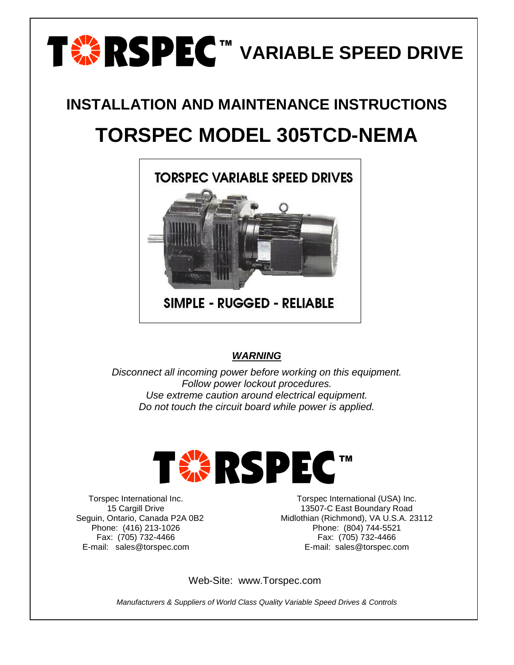

# **INSTALLATION AND MAINTENANCE INSTRUCTIONS**

# **TORSPEC MODEL 305TCD-NEMA**



**SIMPLE - RUGGED - RELIABLE** 

### *WARNING*

*Disconnect all incoming power before working on this equipment. Follow power lockout procedures. Use extreme caution around electrical equipment. Do not touch the circuit board while power is applied.*



Torspec International Inc. 15 Cargill Drive Seguin, Ontario, Canada P2A 0B2 Phone: (416) 213-1026 Fax: (705) 732-4466 E-mail: sales@torspec.com

Torspec International (USA) Inc. 13507-C East Boundary Road Midlothian (Richmond), VA U.S.A. 23112 Phone: (804) 744-5521 Fax: (705) 732-4466 E-mail: sales@torspec.com

Web-Site: www.Torspec.com

*Manufacturers & Suppliers of World Class Quality Variable Speed Drives & Controls*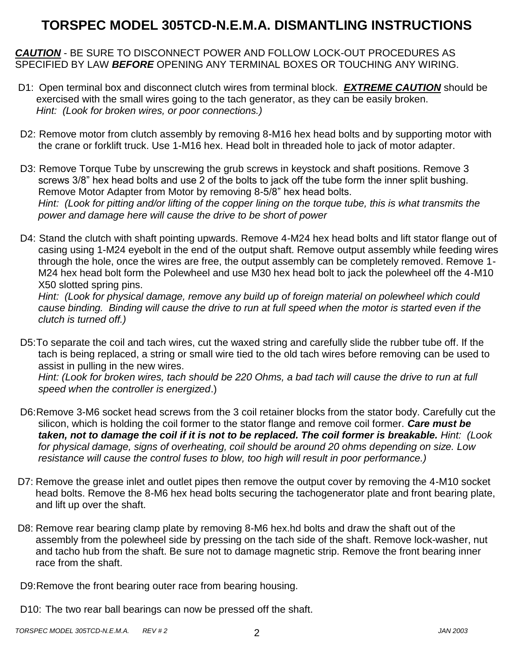### **TORSPEC MODEL 305TCD-N.E.M.A. DISMANTLING INSTRUCTIONS**

*CAUTION* - BE SURE TO DISCONNECT POWER AND FOLLOW LOCK-OUT PROCEDURES AS SPECIFIED BY LAW *BEFORE* OPENING ANY TERMINAL BOXES OR TOUCHING ANY WIRING.

- D1: Open terminal box and disconnect clutch wires from terminal block. *EXTREME CAUTION* should be exercised with the small wires going to the tach generator, as they can be easily broken. *Hint: (Look for broken wires, or poor connections.)*
- D2: Remove motor from clutch assembly by removing 8-M16 hex head bolts and by supporting motor with the crane or forklift truck. Use 1-M16 hex. Head bolt in threaded hole to jack of motor adapter.
- D3: Remove Torque Tube by unscrewing the grub screws in keystock and shaft positions. Remove 3 screws 3/8" hex head bolts and use 2 of the bolts to jack off the tube form the inner split bushing. Remove Motor Adapter from Motor by removing 8-5/8" hex head bolts. *Hint: (Look for pitting and/or lifting of the copper lining on the torque tube, this is what transmits the power and damage here will cause the drive to be short of power*
- D4: Stand the clutch with shaft pointing upwards. Remove 4-M24 hex head bolts and lift stator flange out of casing using 1-M24 eyebolt in the end of the output shaft. Remove output assembly while feeding wires through the hole, once the wires are free, the output assembly can be completely removed. Remove 1- M24 hex head bolt form the Polewheel and use M30 hex head bolt to jack the polewheel off the 4-M10 X50 slotted spring pins.

*Hint: (Look for physical damage, remove any build up of foreign material on polewheel which could cause binding. Binding will cause the drive to run at full speed when the motor is started even if the clutch is turned off.)*

D5:To separate the coil and tach wires, cut the waxed string and carefully slide the rubber tube off. If the tach is being replaced, a string or small wire tied to the old tach wires before removing can be used to assist in pulling in the new wires.

*Hint: (Look for broken wires, tach should be 220 Ohms, a bad tach will cause the drive to run at full speed when the controller is energized*.)

- D6:Remove 3-M6 socket head screws from the 3 coil retainer blocks from the stator body. Carefully cut the silicon, which is holding the coil former to the stator flange and remove coil former. *Care must be taken, not to damage the coil if it is not to be replaced. The coil former is breakable. Hint: (Look for physical damage, signs of overheating, coil should be around 20 ohms depending on size. Low resistance will cause the control fuses to blow, too high will result in poor performance.)*
- D7: Remove the grease inlet and outlet pipes then remove the output cover by removing the 4-M10 socket head bolts. Remove the 8-M6 hex head bolts securing the tachogenerator plate and front bearing plate, and lift up over the shaft.
- D8: Remove rear bearing clamp plate by removing 8-M6 hex.hd bolts and draw the shaft out of the assembly from the polewheel side by pressing on the tach side of the shaft. Remove lock-washer, nut and tacho hub from the shaft. Be sure not to damage magnetic strip. Remove the front bearing inner race from the shaft.

D9:Remove the front bearing outer race from bearing housing.

D10: The two rear ball bearings can now be pressed off the shaft.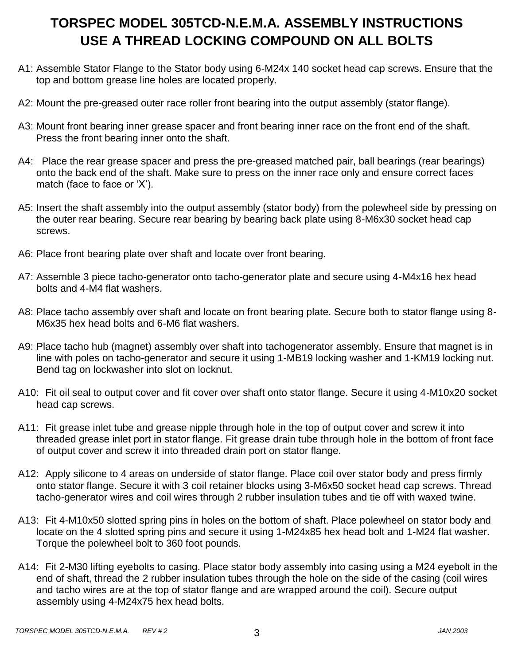## **TORSPEC MODEL 305TCD-N.E.M.A. ASSEMBLY INSTRUCTIONS USE A THREAD LOCKING COMPOUND ON ALL BOLTS**

- A1: Assemble Stator Flange to the Stator body using 6-M24x 140 socket head cap screws. Ensure that the top and bottom grease line holes are located properly.
- A2: Mount the pre-greased outer race roller front bearing into the output assembly (stator flange).
- A3: Mount front bearing inner grease spacer and front bearing inner race on the front end of the shaft. Press the front bearing inner onto the shaft.
- A4: Place the rear grease spacer and press the pre-greased matched pair, ball bearings (rear bearings) onto the back end of the shaft. Make sure to press on the inner race only and ensure correct faces match (face to face or 'X').
- A5: Insert the shaft assembly into the output assembly (stator body) from the polewheel side by pressing on the outer rear bearing. Secure rear bearing by bearing back plate using 8-M6x30 socket head cap screws.
- A6: Place front bearing plate over shaft and locate over front bearing.
- A7: Assemble 3 piece tacho-generator onto tacho-generator plate and secure using 4-M4x16 hex head bolts and 4-M4 flat washers.
- A8: Place tacho assembly over shaft and locate on front bearing plate. Secure both to stator flange using 8- M6x35 hex head bolts and 6-M6 flat washers.
- A9: Place tacho hub (magnet) assembly over shaft into tachogenerator assembly. Ensure that magnet is in line with poles on tacho-generator and secure it using 1-MB19 locking washer and 1-KM19 locking nut. Bend tag on lockwasher into slot on locknut.
- A10: Fit oil seal to output cover and fit cover over shaft onto stator flange. Secure it using 4-M10x20 socket head cap screws.
- A11: Fit grease inlet tube and grease nipple through hole in the top of output cover and screw it into threaded grease inlet port in stator flange. Fit grease drain tube through hole in the bottom of front face of output cover and screw it into threaded drain port on stator flange.
- A12: Apply silicone to 4 areas on underside of stator flange. Place coil over stator body and press firmly onto stator flange. Secure it with 3 coil retainer blocks using 3-M6x50 socket head cap screws. Thread tacho-generator wires and coil wires through 2 rubber insulation tubes and tie off with waxed twine.
- A13: Fit 4-M10x50 slotted spring pins in holes on the bottom of shaft. Place polewheel on stator body and locate on the 4 slotted spring pins and secure it using 1-M24x85 hex head bolt and 1-M24 flat washer. Torque the polewheel bolt to 360 foot pounds.
- A14: Fit 2-M30 lifting eyebolts to casing. Place stator body assembly into casing using a M24 eyebolt in the end of shaft, thread the 2 rubber insulation tubes through the hole on the side of the casing (coil wires and tacho wires are at the top of stator flange and are wrapped around the coil). Secure output assembly using 4-M24x75 hex head bolts.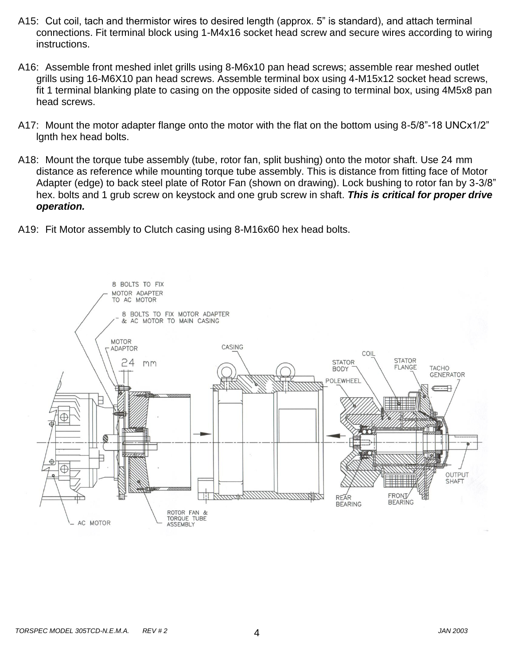- A15: Cut coil, tach and thermistor wires to desired length (approx. 5" is standard), and attach terminal connections. Fit terminal block using 1-M4x16 socket head screw and secure wires according to wiring instructions.
- A16: Assemble front meshed inlet grills using 8-M6x10 pan head screws; assemble rear meshed outlet grills using 16-M6X10 pan head screws. Assemble terminal box using 4-M15x12 socket head screws, fit 1 terminal blanking plate to casing on the opposite sided of casing to terminal box, using 4M5x8 pan head screws.
- A17: Mount the motor adapter flange onto the motor with the flat on the bottom using 8-5/8"-18 UNCx1/2" lgnth hex head bolts.
- A18: Mount the torque tube assembly (tube, rotor fan, split bushing) onto the motor shaft. Use 24 mm distance as reference while mounting torque tube assembly. This is distance from fitting face of Motor Adapter (edge) to back steel plate of Rotor Fan (shown on drawing). Lock bushing to rotor fan by 3-3/8" hex. bolts and 1 grub screw on keystock and one grub screw in shaft. *This is critical for proper drive operation.*
- A19: Fit Motor assembly to Clutch casing using 8-M16x60 hex head bolts.

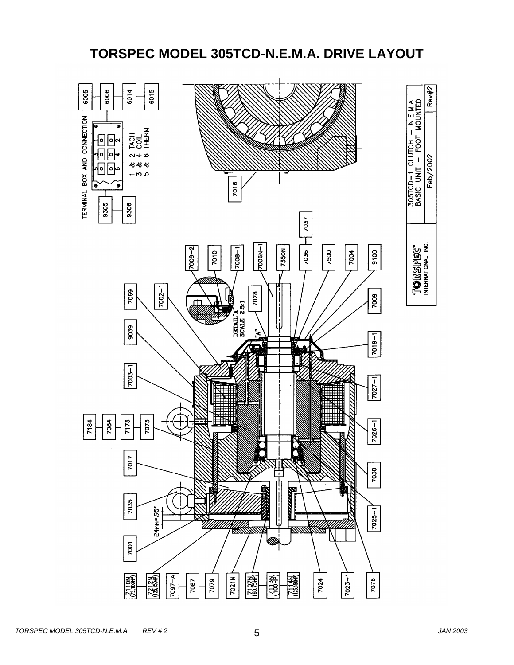### **TORSPEC MODEL 305TCD-N.E.M.A. DRIVE LAYOUT**

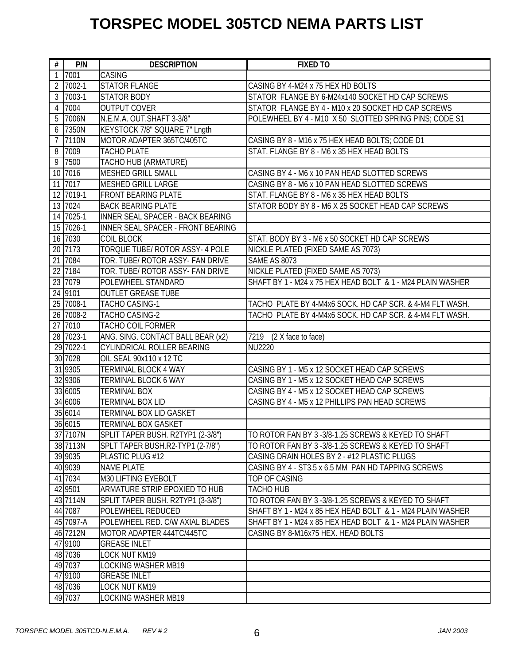# **TORSPEC MODEL 305TCD NEMA PARTS LIST**

| $\overline{\boldsymbol{t}}$ | P/N                                                                                                | <b>DESCRIPTION</b>                                                                                                                                                                                                            | <b>FIXED TO</b>                                                                                                                                                |
|-----------------------------|----------------------------------------------------------------------------------------------------|-------------------------------------------------------------------------------------------------------------------------------------------------------------------------------------------------------------------------------|----------------------------------------------------------------------------------------------------------------------------------------------------------------|
| 1                           | 7001                                                                                               | <b>CASING</b>                                                                                                                                                                                                                 |                                                                                                                                                                |
| 2                           | 7002-1                                                                                             | <b>STATOR FLANGE</b>                                                                                                                                                                                                          | CASING BY 4-M24 x 75 HEX HD BOLTS                                                                                                                              |
| 3                           | 7003-1                                                                                             | <b>STATOR BODY</b>                                                                                                                                                                                                            | STATOR FLANGE BY 6-M24x140 SOCKET HD CAP SCREWS                                                                                                                |
| 4                           | 7004                                                                                               | <b>OUTPUT COVER</b>                                                                                                                                                                                                           | STATOR FLANGE BY 4 - M10 x 20 SOCKET HD CAP SCREWS                                                                                                             |
| 5                           | 7006N                                                                                              | N.E.M.A. OUT.SHAFT 3-3/8"                                                                                                                                                                                                     | POLEWHEEL BY 4 - M10 X 50 SLOTTED SPRING PINS; CODE S1                                                                                                         |
| 6                           | 7350N                                                                                              | KEYSTOCK 7/8" SQUARE 7" Lngth                                                                                                                                                                                                 |                                                                                                                                                                |
| 7                           | 7110N                                                                                              | MOTOR ADAPTER 365TC/405TC                                                                                                                                                                                                     | CASING BY 8 - M16 x 75 HEX HEAD BOLTS; CODE D1                                                                                                                 |
| 8                           | 7009                                                                                               | <b>TACHO PLATE</b>                                                                                                                                                                                                            | STAT, FLANGE BY 8 - M6 x 35 HEX HEAD BOLTS                                                                                                                     |
| 9                           | 7500                                                                                               | TACHO HUB (ARMATURE)                                                                                                                                                                                                          |                                                                                                                                                                |
|                             | 10 7016                                                                                            | <b>MESHED GRILL SMALL</b>                                                                                                                                                                                                     | CASING BY 4 - M6 x 10 PAN HEAD SLOTTED SCREWS                                                                                                                  |
|                             | 11 7017                                                                                            | <b>MESHED GRILL LARGE</b>                                                                                                                                                                                                     | CASING BY 8 - M6 x 10 PAN HEAD SLOTTED SCREWS                                                                                                                  |
|                             | 12 7019-1                                                                                          | <b>FRONT BEARING PLATE</b>                                                                                                                                                                                                    | STAT. FLANGE BY 8 - M6 x 35 HEX HEAD BOLTS                                                                                                                     |
|                             | 13 7024                                                                                            | <b>BACK BEARING PLATE</b>                                                                                                                                                                                                     | STATOR BODY BY 8 - M6 X 25 SOCKET HEAD CAP SCREWS                                                                                                              |
|                             | 14 7025-1                                                                                          | INNER SEAL SPACER - BACK BEARING                                                                                                                                                                                              |                                                                                                                                                                |
|                             | 15 7026-1                                                                                          | INNER SEAL SPACER - FRONT BEARING                                                                                                                                                                                             |                                                                                                                                                                |
|                             | 16 7030                                                                                            | <b>COIL BLOCK</b>                                                                                                                                                                                                             | STAT. BODY BY 3 - M6 x 50 SOCKET HD CAP SCREWS                                                                                                                 |
|                             | 20 7173                                                                                            | <b>TORQUE TUBE/ ROTOR ASSY- 4 POLE</b>                                                                                                                                                                                        | NICKLE PLATED (FIXED SAME AS 7073)                                                                                                                             |
|                             | 21 7084                                                                                            | TOR. TUBE/ ROTOR ASSY- FAN DRIVE                                                                                                                                                                                              | <b>SAME AS 8073</b>                                                                                                                                            |
|                             | 22 7184                                                                                            | TOR. TUBE/ ROTOR ASSY- FAN DRIVE                                                                                                                                                                                              | NICKLE PLATED (FIXED SAME AS 7073)                                                                                                                             |
|                             | 23 7079                                                                                            | POLEWHEEL STANDARD                                                                                                                                                                                                            | SHAFT BY 1 - M24 x 75 HEX HEAD BOLT & 1 - M24 PLAIN WASHER                                                                                                     |
|                             | 24 9101                                                                                            | <b>OUTLET GREASE TUBE</b>                                                                                                                                                                                                     |                                                                                                                                                                |
|                             | 25 7008-1                                                                                          | <b>TACHO CASING-1</b>                                                                                                                                                                                                         | TACHO PLATE BY 4-M4x6 SOCK. HD CAP SCR. & 4-M4 FLT WASH.                                                                                                       |
|                             | 26 7008-2                                                                                          | <b>TACHO CASING-2</b>                                                                                                                                                                                                         | TACHO PLATE BY 4-M4x6 SOCK. HD CAP SCR. & 4-M4 FLT WASH.                                                                                                       |
|                             | 27 7010                                                                                            | <b>TACHO COIL FORMER</b>                                                                                                                                                                                                      |                                                                                                                                                                |
|                             | 28 7023-1                                                                                          | ANG. SING. CONTACT BALL BEAR (x2)                                                                                                                                                                                             | 7219 (2 X face to face)                                                                                                                                        |
|                             | 29 7022-1                                                                                          | <b>CYLINDRICAL ROLLER BEARING</b>                                                                                                                                                                                             | <b>NU2220</b>                                                                                                                                                  |
|                             | 30 7028                                                                                            | OIL SEAL 90x110 x 12 TC                                                                                                                                                                                                       |                                                                                                                                                                |
|                             | 31 9305                                                                                            | TERMINAL BLOCK 4 WAY                                                                                                                                                                                                          | CASING BY 1 - M5 x 12 SOCKET HEAD CAP SCREWS                                                                                                                   |
|                             | 32 9306                                                                                            | <b>TERMINAL BLOCK 6 WAY</b>                                                                                                                                                                                                   | CASING BY 1 - M5 x 12 SOCKET HEAD CAP SCREWS                                                                                                                   |
|                             | 33 6005                                                                                            | <b>TERMINAL BOX</b>                                                                                                                                                                                                           | CASING BY 4 - M5 x 12 SOCKET HEAD CAP SCREWS                                                                                                                   |
|                             | 34 6006                                                                                            | <b>TERMINAL BOX LID</b>                                                                                                                                                                                                       | CASING BY 4 - M5 x 12 PHILLIPS PAN HEAD SCREWS                                                                                                                 |
|                             | 35 6014                                                                                            | <b>TERMINAL BOX LID GASKET</b>                                                                                                                                                                                                |                                                                                                                                                                |
|                             | 36 6015                                                                                            | <b>TERMINAL BOX GASKET</b>                                                                                                                                                                                                    |                                                                                                                                                                |
|                             | 37 7107N                                                                                           | SPLIT TAPER BUSH. R2TYP1 (2-3/8")                                                                                                                                                                                             | TO ROTOR FAN BY 3-3/8-1.25 SCREWS & KEYED TO SHAFT                                                                                                             |
|                             | 38 7113N                                                                                           | SPLT TAPER BUSH.R2-TYP1 (2-7/8")                                                                                                                                                                                              | TO ROTOR FAN BY 3-3/8-1.25 SCREWS & KEYED TO SHAFT                                                                                                             |
|                             | 39 9035                                                                                            | PLASTIC PLUG #12                                                                                                                                                                                                              | CASING DRAIN HOLES BY 2 - #12 PLASTIC PLUGS                                                                                                                    |
|                             | 40 9039                                                                                            | <b>NAME PLATE</b>                                                                                                                                                                                                             | CASING BY 4 - ST3.5 x 6.5 MM PAN HD TAPPING SCREWS                                                                                                             |
|                             | 41 7034                                                                                            | M30 LIFTING EYEBOLT                                                                                                                                                                                                           | TOP OF CASING                                                                                                                                                  |
|                             | 42 9501                                                                                            | ARMATURE STRIP EPOXIED TO HUB                                                                                                                                                                                                 | TACHO HUB                                                                                                                                                      |
|                             | 43 7114N                                                                                           | SPLIT TAPER BUSH. R2TYP1 (3-3/8")                                                                                                                                                                                             | TO ROTOR FAN BY 3 -3/8-1.25 SCREWS & KEYED TO SHAFT                                                                                                            |
|                             |                                                                                                    |                                                                                                                                                                                                                               |                                                                                                                                                                |
|                             |                                                                                                    |                                                                                                                                                                                                                               |                                                                                                                                                                |
|                             |                                                                                                    |                                                                                                                                                                                                                               |                                                                                                                                                                |
|                             |                                                                                                    |                                                                                                                                                                                                                               |                                                                                                                                                                |
|                             |                                                                                                    |                                                                                                                                                                                                                               |                                                                                                                                                                |
|                             |                                                                                                    |                                                                                                                                                                                                                               |                                                                                                                                                                |
|                             |                                                                                                    |                                                                                                                                                                                                                               |                                                                                                                                                                |
|                             |                                                                                                    |                                                                                                                                                                                                                               |                                                                                                                                                                |
|                             | 44 7087<br>45 7097-A<br>46 7212N<br>47 9100<br>48 7036<br>49 7037<br>47 9100<br>48 7036<br>49 7037 | POLEWHEEL REDUCED<br>POLEWHEEL RED. C/W AXIAL BLADES<br>MOTOR ADAPTER 444TC/445TC<br><b>GREASE INLET</b><br>LOCK NUT KM19<br><b>LOCKING WASHER MB19</b><br><b>GREASE INLET</b><br>LOCK NUT KM19<br><b>LOCKING WASHER MB19</b> | SHAFT BY 1 - M24 x 85 HEX HEAD BOLT & 1 - M24 PLAIN WASHER<br>SHAFT BY 1 - M24 x 85 HEX HEAD BOLT & 1 - M24 PLAIN WASHER<br>CASING BY 8-M16x75 HEX. HEAD BOLTS |